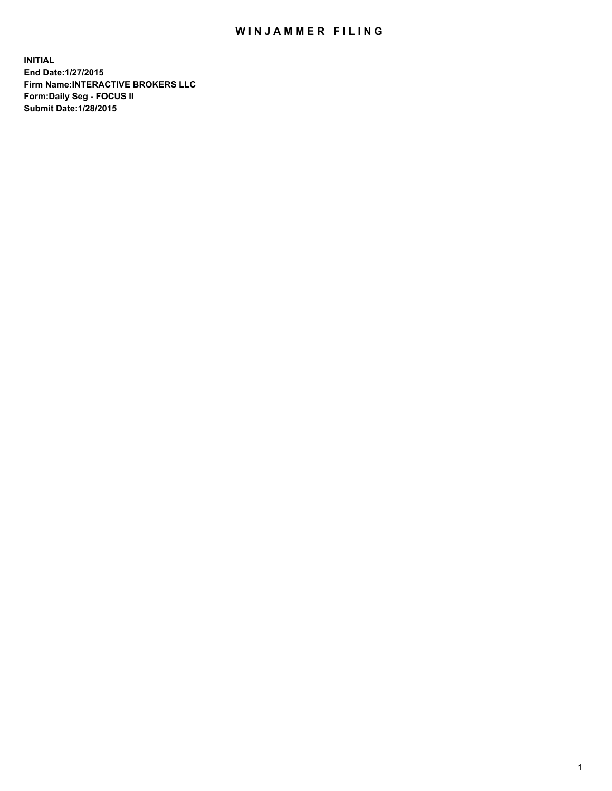## WIN JAMMER FILING

**INITIAL End Date:1/27/2015 Firm Name:INTERACTIVE BROKERS LLC Form:Daily Seg - FOCUS II Submit Date:1/28/2015**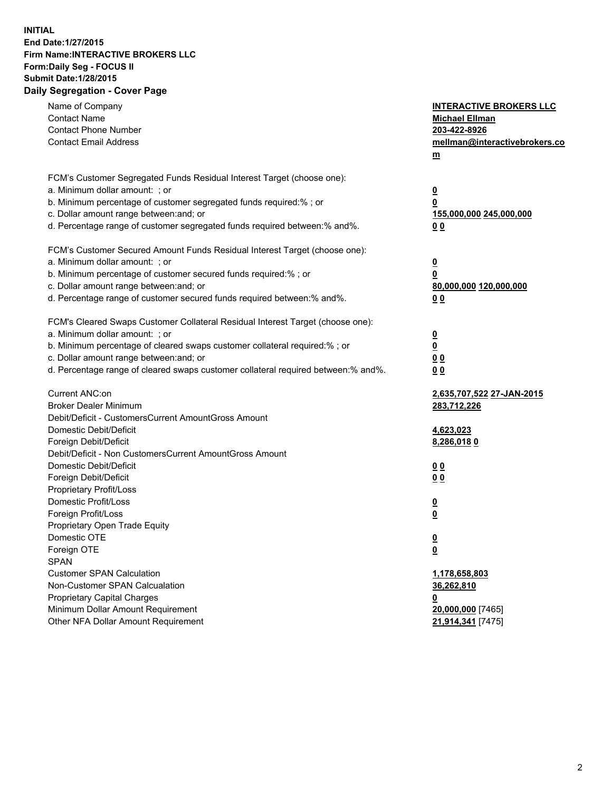## **INITIAL End Date:1/27/2015 Firm Name:INTERACTIVE BROKERS LLC Form:Daily Seg - FOCUS II Submit Date:1/28/2015 Daily Segregation - Cover Page**

| Name of Company                                                                   | <b>INTERACTIVE BROKERS LLC</b> |
|-----------------------------------------------------------------------------------|--------------------------------|
| <b>Contact Name</b>                                                               | <b>Michael Ellman</b>          |
| <b>Contact Phone Number</b>                                                       | 203-422-8926                   |
| <b>Contact Email Address</b>                                                      | mellman@interactivebrokers.co  |
|                                                                                   | $\underline{\mathbf{m}}$       |
| FCM's Customer Segregated Funds Residual Interest Target (choose one):            |                                |
| a. Minimum dollar amount: ; or                                                    | $\overline{\mathbf{0}}$        |
| b. Minimum percentage of customer segregated funds required:% ; or                | 0                              |
| c. Dollar amount range between: and; or                                           | 155,000,000 245,000,000        |
| d. Percentage range of customer segregated funds required between:% and%.         | 00                             |
| FCM's Customer Secured Amount Funds Residual Interest Target (choose one):        |                                |
| a. Minimum dollar amount: ; or                                                    | $\overline{\mathbf{0}}$        |
| b. Minimum percentage of customer secured funds required:% ; or                   | 0                              |
| c. Dollar amount range between: and; or                                           | 80,000,000 120,000,000         |
| d. Percentage range of customer secured funds required between:% and%.            | 00                             |
| FCM's Cleared Swaps Customer Collateral Residual Interest Target (choose one):    |                                |
| a. Minimum dollar amount: ; or                                                    | $\overline{\mathbf{0}}$        |
| b. Minimum percentage of cleared swaps customer collateral required:% ; or        | $\overline{\mathbf{0}}$        |
| c. Dollar amount range between: and; or                                           | 0 <sub>0</sub>                 |
| d. Percentage range of cleared swaps customer collateral required between:% and%. | 0 <sub>0</sub>                 |
|                                                                                   |                                |
| Current ANC:on                                                                    | 2,635,707,522 27-JAN-2015      |
| <b>Broker Dealer Minimum</b>                                                      | 283,712,226                    |
| Debit/Deficit - CustomersCurrent AmountGross Amount                               |                                |
| Domestic Debit/Deficit                                                            | 4,623,023                      |
| Foreign Debit/Deficit                                                             | 8,286,0180                     |
| Debit/Deficit - Non CustomersCurrent AmountGross Amount                           |                                |
| Domestic Debit/Deficit                                                            | 0 <sub>0</sub>                 |
| Foreign Debit/Deficit                                                             | 0 <sub>0</sub>                 |
| Proprietary Profit/Loss                                                           |                                |
| Domestic Profit/Loss                                                              | $\overline{\mathbf{0}}$        |
| Foreign Profit/Loss                                                               | $\underline{\mathbf{0}}$       |
| Proprietary Open Trade Equity                                                     |                                |
| Domestic OTE                                                                      | <u>0</u>                       |
| Foreign OTE                                                                       | <u>0</u>                       |
| <b>SPAN</b>                                                                       |                                |
| <b>Customer SPAN Calculation</b>                                                  | 1,178,658,803                  |
| Non-Customer SPAN Calcualation                                                    | 36,262,810                     |
| Proprietary Capital Charges                                                       | <u>0</u>                       |
| Minimum Dollar Amount Requirement                                                 | 20,000,000 [7465]              |
| Other NFA Dollar Amount Requirement                                               | 21,914,341 [7475]              |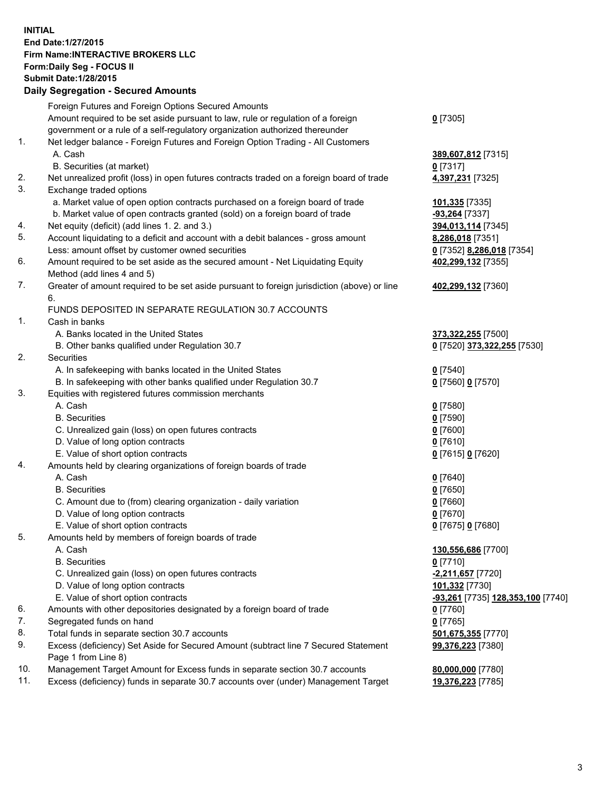## **INITIAL End Date:1/27/2015 Firm Name:INTERACTIVE BROKERS LLC Form:Daily Seg - FOCUS II Submit Date:1/28/2015 Daily Segregation - Secured Amounts**

|     | Foreign Futures and Foreign Options Secured Amounts                                         |                                                |
|-----|---------------------------------------------------------------------------------------------|------------------------------------------------|
|     | Amount required to be set aside pursuant to law, rule or regulation of a foreign            | $0$ [7305]                                     |
|     | government or a rule of a self-regulatory organization authorized thereunder                |                                                |
| 1.  | Net ledger balance - Foreign Futures and Foreign Option Trading - All Customers             |                                                |
|     | A. Cash                                                                                     | 389,607,812 [7315]                             |
|     | B. Securities (at market)                                                                   | 0 [7317]                                       |
| 2.  | Net unrealized profit (loss) in open futures contracts traded on a foreign board of trade   | 4,397,231 [7325]                               |
| 3.  | Exchange traded options                                                                     |                                                |
|     | a. Market value of open option contracts purchased on a foreign board of trade              | 101,335 [7335]                                 |
|     | b. Market value of open contracts granted (sold) on a foreign board of trade                | -93,264 [7337]                                 |
| 4.  | Net equity (deficit) (add lines 1.2. and 3.)                                                | 394,013,114 [7345]                             |
| 5.  | Account liquidating to a deficit and account with a debit balances - gross amount           | 8,286,018 [7351]                               |
|     | Less: amount offset by customer owned securities                                            | 0 [7352] 8,286,018 [7354]                      |
| 6.  | Amount required to be set aside as the secured amount - Net Liquidating Equity              | 402,299,132 [7355]                             |
|     | Method (add lines 4 and 5)                                                                  |                                                |
| 7.  | Greater of amount required to be set aside pursuant to foreign jurisdiction (above) or line |                                                |
|     | 6.                                                                                          | 402,299,132 [7360]                             |
|     | FUNDS DEPOSITED IN SEPARATE REGULATION 30.7 ACCOUNTS                                        |                                                |
| 1.  |                                                                                             |                                                |
|     | Cash in banks                                                                               |                                                |
|     | A. Banks located in the United States                                                       | 373,322,255 [7500]                             |
|     | B. Other banks qualified under Regulation 30.7                                              | 0 [7520] 373,322,255 [7530]                    |
| 2.  | Securities                                                                                  |                                                |
|     | A. In safekeeping with banks located in the United States                                   | $0$ [7540]                                     |
|     | B. In safekeeping with other banks qualified under Regulation 30.7                          | 0 [7560] 0 [7570]                              |
| 3.  | Equities with registered futures commission merchants                                       |                                                |
|     | A. Cash                                                                                     | $0$ [7580]                                     |
|     | <b>B.</b> Securities                                                                        | $0$ [7590]                                     |
|     | C. Unrealized gain (loss) on open futures contracts                                         | $0$ [7600]                                     |
|     | D. Value of long option contracts                                                           | $0$ [7610]                                     |
|     | E. Value of short option contracts                                                          | 0 [7615] 0 [7620]                              |
| 4.  | Amounts held by clearing organizations of foreign boards of trade                           |                                                |
|     | A. Cash                                                                                     | $0$ [7640]                                     |
|     | <b>B.</b> Securities                                                                        | $0$ [7650]                                     |
|     | C. Amount due to (from) clearing organization - daily variation                             | $0$ [7660]                                     |
|     | D. Value of long option contracts                                                           | $0$ [7670]                                     |
|     | E. Value of short option contracts                                                          | 0 [7675] 0 [7680]                              |
| 5.  | Amounts held by members of foreign boards of trade                                          |                                                |
|     | A. Cash                                                                                     | 130,556,686 [7700]                             |
|     | <b>B.</b> Securities                                                                        | $0$ [7710]                                     |
|     | C. Unrealized gain (loss) on open futures contracts                                         | -2,211,657 [7720]                              |
|     | D. Value of long option contracts                                                           | 101,332 [7730]                                 |
|     | E. Value of short option contracts                                                          | <mark>-93,261</mark> [7735] 128,353,100 [7740] |
| 6.  | Amounts with other depositories designated by a foreign board of trade                      | $0$ [7760]                                     |
| 7.  | Segregated funds on hand                                                                    | $0$ [7765]                                     |
| 8.  | Total funds in separate section 30.7 accounts                                               | 501,675,355 [7770]                             |
| 9.  | Excess (deficiency) Set Aside for Secured Amount (subtract line 7 Secured Statement         | 99,376,223 [7380]                              |
|     | Page 1 from Line 8)                                                                         |                                                |
| 10. | Management Target Amount for Excess funds in separate section 30.7 accounts                 | 80,000,000 [7780]                              |
| 11. | Excess (deficiency) funds in separate 30.7 accounts over (under) Management Target          | 19,376,223 [7785]                              |
|     |                                                                                             |                                                |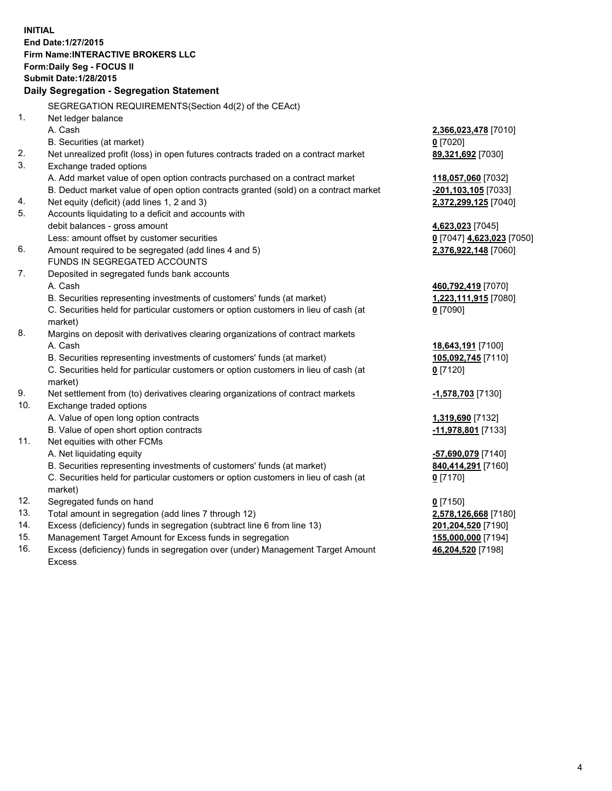**INITIAL End Date:1/27/2015 Firm Name:INTERACTIVE BROKERS LLC Form:Daily Seg - FOCUS II Submit Date:1/28/2015 Daily Segregation - Segregation Statement** SEGREGATION REQUIREMENTS(Section 4d(2) of the CEAct) 1. Net ledger balance A. Cash **2,366,023,478** [7010] B. Securities (at market) **0** [7020] 2. Net unrealized profit (loss) in open futures contracts traded on a contract market **89,321,692** [7030] 3. Exchange traded options A. Add market value of open option contracts purchased on a contract market **118,057,060** [7032] B. Deduct market value of open option contracts granted (sold) on a contract market **-201,103,105** [7033] 4. Net equity (deficit) (add lines 1, 2 and 3) **2,372,299,125** [7040] 5. Accounts liquidating to a deficit and accounts with debit balances - gross amount **4,623,023** [7045] Less: amount offset by customer securities **0** [7047] **4,623,023** [7050] 6. Amount required to be segregated (add lines 4 and 5) **2,376,922,148** [7060] FUNDS IN SEGREGATED ACCOUNTS 7. Deposited in segregated funds bank accounts A. Cash **460,792,419** [7070] B. Securities representing investments of customers' funds (at market) **1,223,111,915** [7080] C. Securities held for particular customers or option customers in lieu of cash (at market) **0** [7090] 8. Margins on deposit with derivatives clearing organizations of contract markets A. Cash **18,643,191** [7100] B. Securities representing investments of customers' funds (at market) **105,092,745** [7110] C. Securities held for particular customers or option customers in lieu of cash (at market) **0** [7120] 9. Net settlement from (to) derivatives clearing organizations of contract markets **-1,578,703** [7130] 10. Exchange traded options A. Value of open long option contracts **1,319,690** [7132] B. Value of open short option contracts **-11,978,801** [7133] 11. Net equities with other FCMs A. Net liquidating equity **-57,690,079** [7140] B. Securities representing investments of customers' funds (at market) **840,414,291** [7160] C. Securities held for particular customers or option customers in lieu of cash (at market) **0** [7170] 12. Segregated funds on hand **0** [7150] 13. Total amount in segregation (add lines 7 through 12) **2,578,126,668** [7180] 14. Excess (deficiency) funds in segregation (subtract line 6 from line 13) **201,204,520** [7190] 15. Management Target Amount for Excess funds in segregation **155,000,000** [7194]

16. Excess (deficiency) funds in segregation over (under) Management Target Amount Excess

**46,204,520** [7198]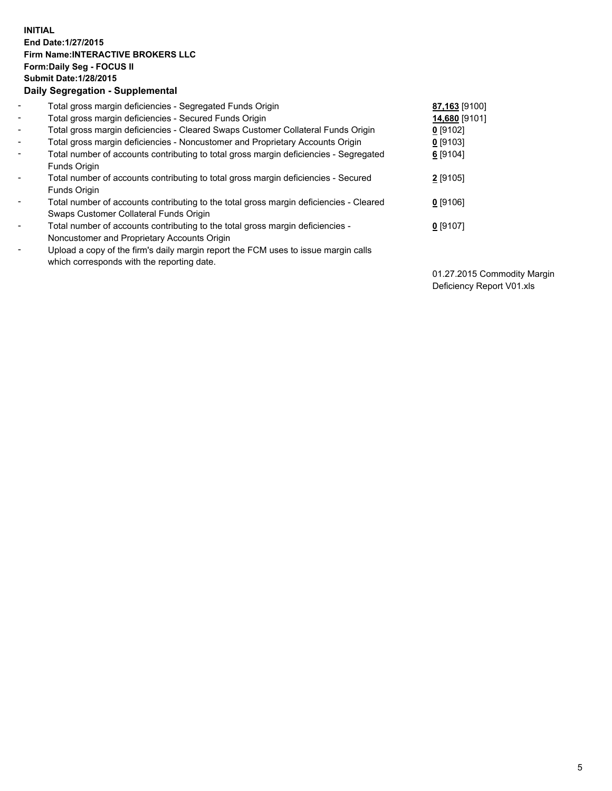## **INITIAL End Date:1/27/2015 Firm Name:INTERACTIVE BROKERS LLC Form:Daily Seg - FOCUS II Submit Date:1/28/2015 Daily Segregation - Supplemental**

| $\blacksquare$           | Total gross margin deficiencies - Segregated Funds Origin                              | 87,163 [9100] |
|--------------------------|----------------------------------------------------------------------------------------|---------------|
| $\blacksquare$           | Total gross margin deficiencies - Secured Funds Origin                                 | 14,680 [9101] |
| $\blacksquare$           | Total gross margin deficiencies - Cleared Swaps Customer Collateral Funds Origin       | $0$ [9102]    |
| $\blacksquare$           | Total gross margin deficiencies - Noncustomer and Proprietary Accounts Origin          | $0$ [9103]    |
| $\blacksquare$           | Total number of accounts contributing to total gross margin deficiencies - Segregated  | 6 [9104]      |
|                          | Funds Origin                                                                           |               |
| $\overline{\phantom{a}}$ | Total number of accounts contributing to total gross margin deficiencies - Secured     | $2$ [9105]    |
|                          | Funds Origin                                                                           |               |
|                          | Total number of accounts contributing to the total gross margin deficiencies - Cleared | $0$ [9106]    |
|                          | Swaps Customer Collateral Funds Origin                                                 |               |
| ۰                        | Total number of accounts contributing to the total gross margin deficiencies -         | $0$ [9107]    |
|                          | Noncustomer and Proprietary Accounts Origin                                            |               |
| $\overline{\phantom{a}}$ | Upload a copy of the firm's daily margin report the FCM uses to issue margin calls     |               |
|                          | which corresponds with the reporting date.                                             |               |
|                          |                                                                                        |               |

01.27.2015 Commodity Margin Deficiency Report V01.xls